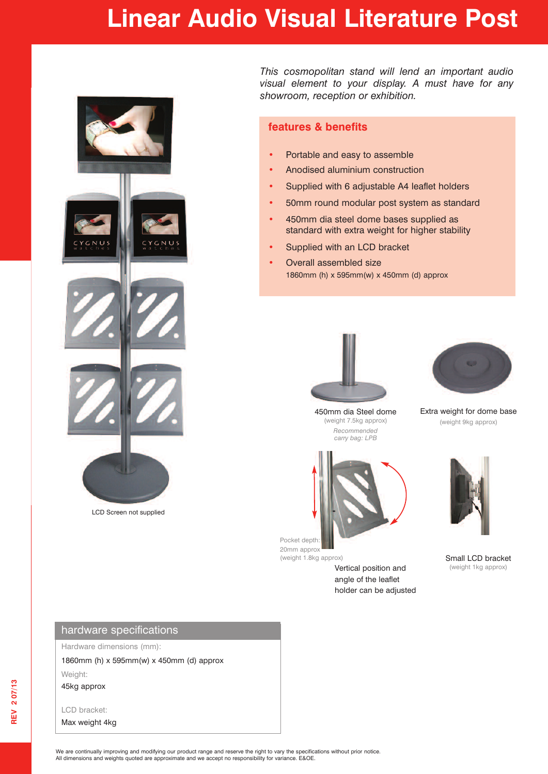## **Linear Audio Visual Literature Post**



LCD Screen not supplied

*This cosmopolitan stand will lend an important audio visual element to your display. A must have for any showroom, reception or exhibition.*

## **features & benefits**

- **•** Portable and easy to assemble
- **•** Anodised aluminium construction
- **•** Supplied with 6 adjustable A4 leaflet holders
- **•** 50mm round modular post system as standard
- **•** 450mm dia steel dome bases supplied as standard with extra weight for higher stability
- **•** Supplied with an LCD bracket
- **•** Overall assembled size 1860mm (h) x 595mm(w) x 450mm (d) approx



450mm dia Steel dome (weight 7.5kg approx) *Recommended carry bag: LPB*



Extra weight for dome base (weight 9kg approx)



Pocket depth: 20mm approx (weight 1.8kg approx)

Vertical position and angle of the leaflet holder can be adjusted



Small LCD bracket<br>(weight 1kg approx)

Hardware dimensions (mm):

1860mm (h) x 595mm(w) x 450mm (d) approx

Weight: 45kg approx

LCD bracket: Max weight 4kg

We are continually improving and modifying our product range and reserve the right to vary the specifications without prior notice. All dimensions and weights quoted are approximate and we accept no responsibility for variance. E&OE.